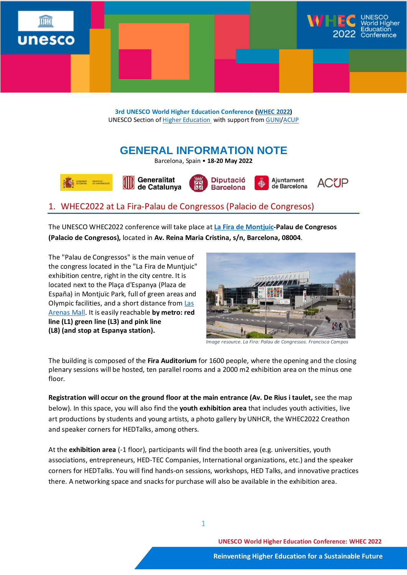

**3rd UNESCO World Higher Education Conference [\(WHEC 2022\)](https://en.unesco.org/news/unesco-world-higher-education-conference-2022)** UNESCO Section o[f Higher Education](https://en.unesco.org/themes/higher-education) with support fro[m GUNI/](http://www.guninetwork.org/)[ACUP](http://www.acup.cat/ca)

# **GENERAL INFORMATION NOTE**

Barcelona, Spain • **18-20 May 2022**









## 1. WHEC2022 at La Fira-Palau de Congressos (Palacio de Congresos)

The UNESCO WHEC2022 conference will take place at **La Fira de [Montjuic-](https://www.firabarcelona-guestevents.com/en/)Palau de Congresos (Palacio de Congresos),** located in **Av. Reina Maria Cristina, s/n, Barcelona, 08004**.

The "Palau de Congressos" is the main venue of the congress located in the "La Fira de Muntjuic" exhibition centre, right in the city centre. It is located next to the Plaça d'Espanya (Plaza de España) in Montjuïc Park, full of green areas and Olympic facilities, and a short distance from [Las](https://www.arenasdebarcelona.com/EN)  [Arenas Mall.](https://www.arenasdebarcelona.com/EN) It is easily reachable **by metro: red line (L1) green line (L3) and pink line (L8) (and stop at Espanya station).** 



*Image resource. La Fira: Palau de Congressos. Francisca Campos*

The building is composed of the **Fira Auditorium** for 1600 people, where the opening and the closing plenary sessions will be hosted, ten parallel rooms and a 2000 m2 exhibition area on the minus one floor.

**Registration will occur on the ground floor at the main entrance (Av. De Rius i taulet,** see the map below). In this space, you will also find the **youth exhibition area** that includes youth activities, live art productions by students and young artists, a photo gallery by UNHCR, the WHEC2022 Creathon and speaker corners for HEDTalks, among others.

At the **exhibition area** (-1 floor), participants will find the booth area (e.g. universities, youth associations, entrepreneurs, HED-TEC Companies, International organizations, etc.) and the speaker corners for HEDTalks. You will find hands-on sessions, workshops, HED Talks, and innovative practices there. A networking space and snacks for purchase will also be available in the exhibition area.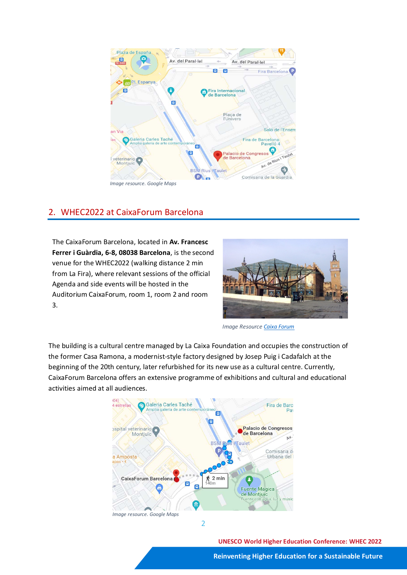

## 2. WHEC2022 at CaixaForum Barcelona

The CaixaForum Barcelona, located in **Av. Francesc Ferrer i Guàrdia, 6-8, 08038 Barcelona**, is the second venue for the WHEC2022 (walking distance 2 min from La Fira), where relevant sessions of the official Agenda and side events will be hosted in the Auditorium CaixaForum, room 1, room 2 and room 3.



*Image Resource [Caixa Forum](https://caixaforum.org/es/barcelona)*

The building is a cultural centre managed by La Caixa Foundation and occupies the construction of the former Casa Ramona, a modernist-style factory designed by Josep Puig i Cadafalch at the beginning of the 20th century, later refurbished for its new use as a cultural centre. Currently, CaixaForum Barcelona offers an extensive programme of exhibitions and cultural and educational activities aimed at all audiences.



**UNESCO World Higher Education Conference: WHEC 2022**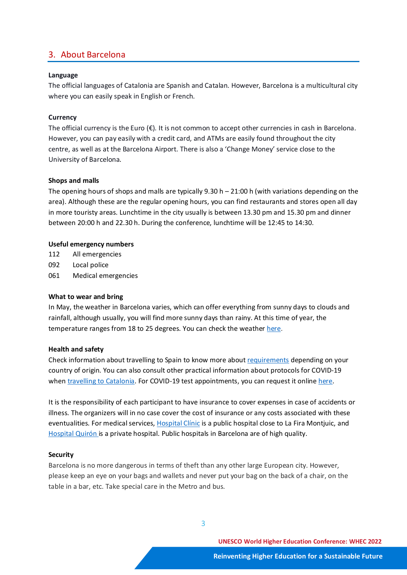## 3. About Barcelona

#### **Language**

The official languages of Catalonia are Spanish and Catalan. However, Barcelona is a multicultural city where you can easily speak in English or French.

#### **Currency**

The official currency is the Euro  $(\epsilon)$ . It is not common to accept other currencies in cash in Barcelona. However, you can pay easily with a credit card, and ATMs are easily found throughout the city centre, as well as at the Barcelona Airport. There is also a 'Change Money' service close to the University of Barcelona.

#### **Shops and malls**

The opening hours of shops and malls are typically  $9.30 h - 21:00 h$  (with variations depending on the area). Although these are the regular opening hours, you can find restaurants and stores open all day in more touristy areas. Lunchtime in the city usually is between 13.30 pm and 15.30 pm and dinner between 20:00 h and 22.30 h. During the conference, lunchtime will be 12:45 to 14:30.

#### **Useful emergency numbers**

- 112 All emergencies
- 092 Local police
- 061 Medical emergencies

#### **What to wear and bring**

In May, the weather in Barcelona varies, which can offer everything from sunny days to clouds and rainfall, although usually, you will find more sunny days than rainy. At this time of year, the temperature ranges from 18 to 25 degrees. You can check the weather [here.](http://www.aemet.es/en/eltiempo/prediccion/municipios/barcelona-id08019)

#### **Health and safety**

Check information about travelling to Spain to know more abou[t requirements](https://www.mscbs.gob.es/en/profesionales/saludPublica/ccayes/alertasActual/nCov/spth.htm) depending on your country of origin. You can also consult other practical information about protocols for COVID-19 whe[n travelling to Catalonia.](https://exteriors.gencat.cat/en/actualitat/restriccions-viatges/) For COVID-19 test appointments, you can request it onlin[e here.](https://e-quironsalud.es/26-test-covid?utm_source=google_sem&utm_medium=cpc&utm_campaign=E-QS%20Pruebas%20COVID19&utm_term=prueba%20covid&utm_content=Gen%C3%A9rica%20COVID&gclid=CjwKCAiAnO2MBhApEiwA8q0HYcyRekUaQVjivnuXUr5j3GgDju3NrtFa76QvMoUqPLWRXh-civfvARoCEtoQAvD_BwE)

It is the responsibility of each participant to have insurance to cover expenses in case of accidents or illness. The organizers will in no case cover the cost of insurance or any costs associated with these eventualities. For medical services, [Hospital Clínic](https://www.google.com/maps/place/Hospital+Cl%C3%ADnic+de+Barcelona/@41.385214,2.1571985,16.17z/data=!4m9!1m2!2m1!1sCLINICA+O+HOSPITAL+BARCELONA!3m5!1s0x12a4a2853c31dd2b:0x7bacaced73cdac27!8m2!3d41.3894436!4d2.1523119!15sChxDTElOSUNBIE8gSE9TUElUQUwgQkFSQ0VMT05BWh4iHGNsaW5pY2EgbyBob3NwaXRhbCBiYXJjZWxvbmGSARN1bml2ZXJzaXR5X2hvc3BpdGFsmgEjQ2haRFNVaE5NRzluUzBWSlEwRm5TVU5oYTNOaGFVbDNFQUU) is a public hospital close to La Fira Montjuic, and [Hospital Quirón i](https://www.google.com/maps/place/Hospital+Quir%C3%B3nsalud+Barcelona/@41.415745,2.1363192,17z/data=!3m1!4b1!4m5!3m4!1s0x12a498044495d6ed:0x503f8af0c587278c!8m2!3d41.415745!4d2.1385079)s a private hospital. Public hospitals in Barcelona are of high quality.

#### **Security**

Barcelona is no more dangerous in terms of theft than any other large European city. However, please keep an eye on your bags and wallets and never put your bag on the back of a chair, on the table in a bar, etc. Take special care in the Metro and bus.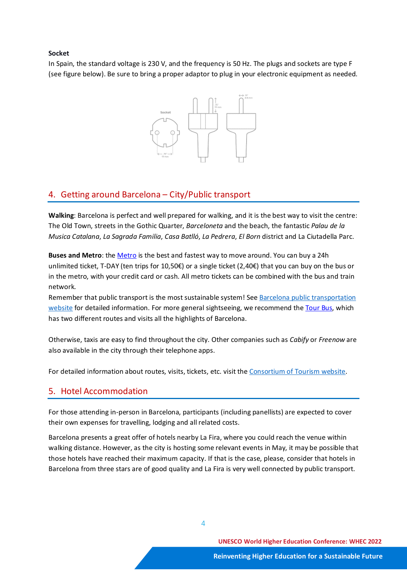#### **Socket**

In Spain, the standard voltage is 230 V, and the frequency is 50 Hz. The plugs and sockets are type F (see figure below). Be sure to bring a proper adaptor to plug in your electronic equipment as needed.



## 4. Getting around Barcelona – City/Public transport

**Walking**: Barcelona is perfect and well prepared for walking, and it is the best way to visit the centre: The Old Town, streets in the Gothic Quarter, *Barceloneta* and the beach, the fantastic *Palau de la Musica Catalana*, *La Sagrada Familia*, *Casa Batlló*, *La Pedrera*, *El Born* district and La Ciutadella Parc.

**Buses and Metro**: the [Metro](http://www.barcelona.com/barcelona_city_guide/all_about/metro_barcelona) is the best and fastest way to move around. You can buy a 24h unlimited ticket, T-DAY (ten trips for 10,50€) or a single ticket (2,40€) that you can buy on the bus or in the metro, with your credit card or cash. All metro tickets can be combined with the bus and train network.

Remember that public transport is the most sustainable system! See [Barcelona public transportation](https://www.tmb.cat/en/barcelona-transport) [website](https://www.tmb.cat/en/barcelona-transport) for detailed information. For more general sightseeing, we recommend the [Tour Bus,](http://www.barcelona.com/barcelona_city_tours/standard_bus_tours) which has two different routes and visits all the highlights of Barcelona.

Otherwise, taxis are easy to find throughout the city. Other companies such as *Cabify* or *Freenow* are also available in the city through their telephone apps.

For detailed information about routes, visits, tickets, etc. visit th[e Consortium of Tourism](http://www.barcelonaturisme.com/wv3/en/) website.

## 5. Hotel Accommodation

For those attending in-person in Barcelona, participants (including panellists) are expected to cover their own expenses for travelling, lodging and all related costs.

Barcelona presents a great offer of hotels nearby La Fira, where you could reach the venue within walking distance. However, as the city is hosting some relevant events in May, it may be possible that those hotels have reached their maximum capacity. If that is the case, please, consider that hotels in Barcelona from three stars are of good quality and La Fira is very well connected by public transport.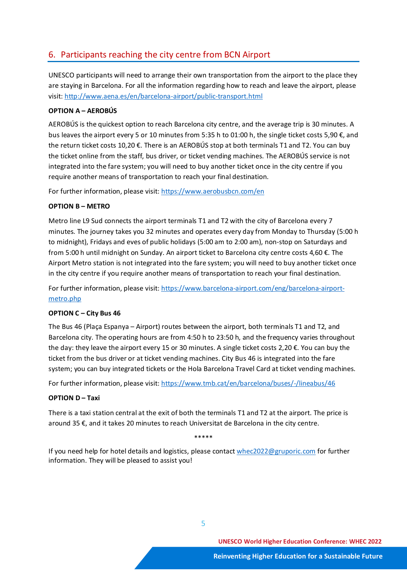## 6. Participants reaching the city centre from BCN Airport

UNESCO participants will need to arrange their own transportation from the airport to the place they are staying in Barcelona. For all the information regarding how to reach and leave the airport, please visit:<http://www.aena.es/en/barcelona-airport/public-transport.html>

#### **OPTION A – AEROBÚS**

AEROBÚS is the quickest option to reach Barcelona city centre, and the average trip is 30 minutes. A bus leaves the airport every 5 or 10 minutes from 5:35 h to 01:00 h, the single ticket costs 5,90 €, and the return ticket costs 10,20 €. There is an AEROBÚS stop at both terminals T1 and T2. You can buy the ticket online from the staff, bus driver, or ticket vending machines. The AEROBÚS service is not integrated into the fare system; you will need to buy another ticket once in the city centre if you require another means of transportation to reach your final destination.

For further information, please visit[: https://www.aerobusbcn.com/en](https://www.aerobusbcn.com/en)

#### **OPTION B – METRO**

Metro line L9 Sud connects the airport terminals T1 and T2 with the city of Barcelona every 7 minutes. The journey takes you 32 minutes and operates every day from Monday to Thursday (5:00 h to midnight), Fridays and eves of public holidays (5:00 am to 2:00 am), non-stop on Saturdays and from 5:00 h until midnight on Sunday. An airport ticket to Barcelona city centre costs 4,60 €. The Airport Metro station is not integrated into the fare system; you will need to buy another ticket once in the city centre if you require another means of transportation to reach your final destination.

For further information, please visit[: https://www.barcelona-airport.com/eng/barcelona-airport](https://www.barcelona-airport.com/eng/barcelona-airport-metro.php)[metro.php](https://www.barcelona-airport.com/eng/barcelona-airport-metro.php)

## **OPTION C – City Bus 46**

The Bus 46 (Plaça Espanya – Airport) routes between the airport, both terminals T1 and T2, and Barcelona city. The operating hours are from 4:50 h to 23:50 h, and the frequency varies throughout the day: they leave the airport every 15 or 30 minutes. A single ticket costs 2,20 €. You can buy the ticket from the bus driver or at ticket vending machines. City Bus 46 is integrated into the fare system; you can buy integrated tickets or the Hola Barcelona Travel Card at ticket vending machines.

For further information, please visit[: https://www.tmb.cat/en/barcelona/buses/-/lineabus/46](https://www.tmb.cat/en/barcelona/buses/-/lineabus/46)

## **OPTION D – Taxi**

There is a taxi station central at the exit of both the terminals T1 and T2 at the airport. The price is around 35 €, and it takes 20 minutes to reach Universitat de Barcelona in the city centre.

\*\*\*\*\*

If you need help for hotel details and logistics, please contac[t whec2022@gruporic.com](mailto:whec2022@gruporic.com) for further information. They will be pleased to assist you!